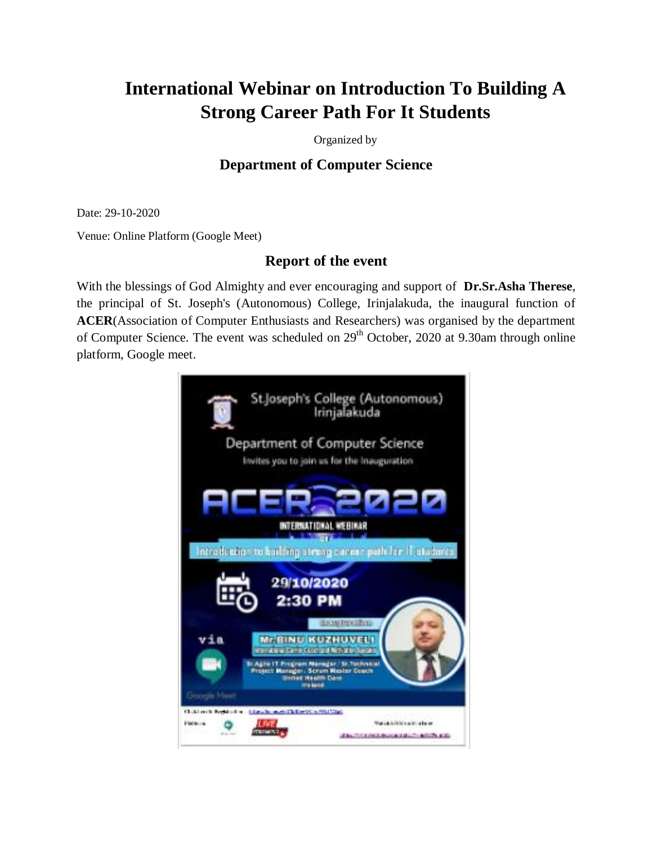## **International Webinar on Introduction To Building A Strong Career Path For It Students**

Organized by

## **Department of Computer Science**

Date: 29-10-2020

Venue: Online Platform (Google Meet)

## **Report of the event**

With the blessings of God Almighty and ever encouraging and support of **Dr.Sr.Asha Therese**, the principal of St. Joseph's (Autonomous) College, Irinjalakuda, the inaugural function of **ACER**(Association of Computer Enthusiasts and Researchers) was organised by the department of Computer Science. The event was scheduled on 29<sup>th</sup> October, 2020 at 9.30am through online platform, Google meet.